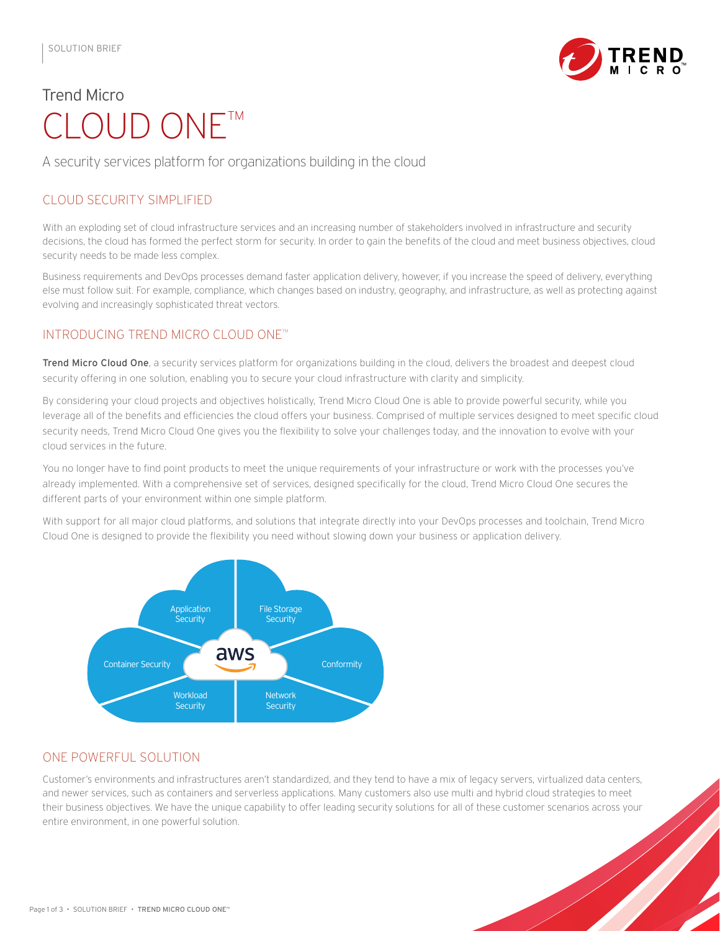

# Trend Micro CLOUD ONE™

A security services platform for organizations building in the cloud

# CLOUD SECURITY SIMPLIFIED

With an exploding set of cloud infrastructure services and an increasing number of stakeholders involved in infrastructure and security decisions, the cloud has formed the perfect storm for security. In order to gain the benefits of the cloud and meet business objectives, cloud security needs to be made less complex.

Business requirements and DevOps processes demand faster application delivery, however, if you increase the speed of delivery, everything else must follow suit. For example, compliance, which changes based on industry, geography, and infrastructure, as well as protecting against evolving and increasingly sophisticated threat vectors.

## INTRODUCING TREND MICRO CLOUD ONE™

Trend Micro Cloud One, a security services platform for organizations building in the cloud, delivers the broadest and deepest cloud security offering in one solution, enabling you to secure your cloud infrastructure with clarity and simplicity.

By considering your cloud projects and objectives holistically, Trend Micro Cloud One is able to provide powerful security, while you leverage all of the benefits and efficiencies the cloud offers your business. Comprised of multiple services designed to meet specific cloud security needs, Trend Micro Cloud One gives you the flexibility to solve your challenges today, and the innovation to evolve with your cloud services in the future.

You no longer have to find point products to meet the unique requirements of your infrastructure or work with the processes you've already implemented. With a comprehensive set of services, designed specifically for the cloud, Trend Micro Cloud One secures the different parts of your environment within one simple platform.

With support for all major cloud platforms, and solutions that integrate directly into your DevOps processes and toolchain, Trend Micro Cloud One is designed to provide the flexibility you need without slowing down your business or application delivery.



## ONE POWERFUL SOLUTION

Customer's environments and infrastructures aren't standardized, and they tend to have a mix of legacy servers, virtualized data centers, and newer services, such as containers and serverless applications. Many customers also use multi and hybrid cloud strategies to meet their business objectives. We have the unique capability to offer leading security solutions for all of these customer scenarios across your entire environment, in one powerful solution.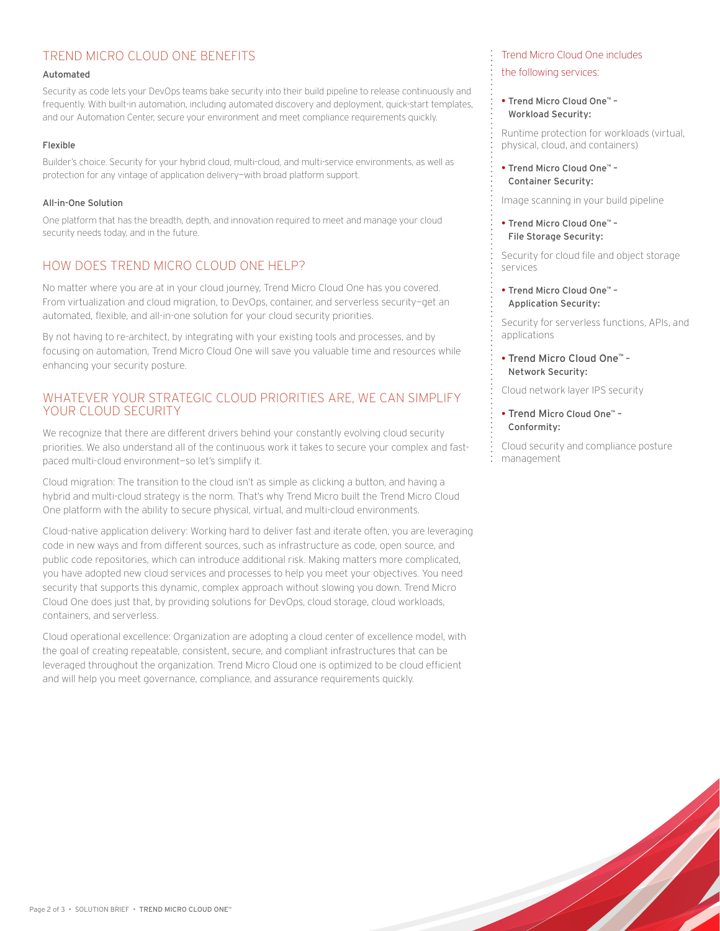## TREND MICRO CLOUD ONE BENEFITS

#### Automated

Security as code lets your DevOps teams bake security into their build pipeline to release continuously and frequently. With built-in automation, including automated discovery and deployment, quick-start templates, and our Automation Center, secure your environment and meet compliance requirements quickly.

#### Flexible

Builder's choice. Security for your hybrid cloud, multi-cloud, and multi-service environments, as well as protection for any vintage of application delivery—with broad platform support.

## All-in-One Solution

One platform that has the breadth, depth, and innovation required to meet and manage your cloud security needs today, and in the future.

## HOW DOES TREND MICRO CLOUD ONE HELP?

No matter where you are at in your cloud journey, Trend Micro Cloud One has you covered. From virtualization and cloud migration, to DevOps, container, and serverless security—get an automated, flexible, and all-in-one solution for your cloud security priorities.

By not having to re-architect, by integrating with your existing tools and processes, and by focusing on automation, Trend Micro Cloud One will save you valuable time and resources while enhancing your security posture.

## WHATEVER YOUR STRATEGIC CLOUD PRIORITIES ARE, WE CAN SIMPLIFY YOUR CLOUD SECURITY

We recognize that there are different drivers behind your constantly evolving cloud security priorities. We also understand all of the continuous work it takes to secure your complex and fastpaced multi-cloud environment—so let's simplify it.

Cloud migration: The transition to the cloud isn't as simple as clicking a button, and having a hybrid and multi-cloud strategy is the norm. That's why Trend Micro built the Trend Micro Cloud One platform with the ability to secure physical, virtual, and multi-cloud environments.

Cloud-native application delivery: Working hard to deliver fast and iterate often, you are leveraging code in new ways and from different sources, such as infrastructure as code, open source, and public code repositories, which can introduce additional risk. Making matters more complicated, you have adopted new cloud services and processes to help you meet your objectives. You need security that supports this dynamic, complex approach without slowing you down. Trend Micro Cloud One does just that, by providing solutions for DevOps, cloud storage, cloud workloads, containers, and serverless.

Cloud operational excellence: Organization are adopting a cloud center of excellence model, with the goal of creating repeatable, consistent, secure, and compliant infrastructures that can be leveraged throughout the organization. Trend Micro Cloud one is optimized to be cloud efficient and will help you meet governance, compliance, and assurance requirements quickly.

## Trend Micro Cloud One includes the following services:

#### • Trend Micro Cloud One™ – Workload Security:

Runtime protection for workloads (virtual, physical, cloud, and containers)

• Trend Micro Cloud One™ – Container Security:

Image scanning in your build pipeline

• Trend Micro Cloud One™ – File Storage Security:

Security for cloud file and object storage services

• Trend Micro Cloud One™ – Application Security:

Security for serverless functions, APIs, and applications

• Trend Micro Cloud One™ – Network Security:

Cloud network layer IPS security

• Trend Micro Cloud One™ – Conformity:

Cloud security and compliance posture management